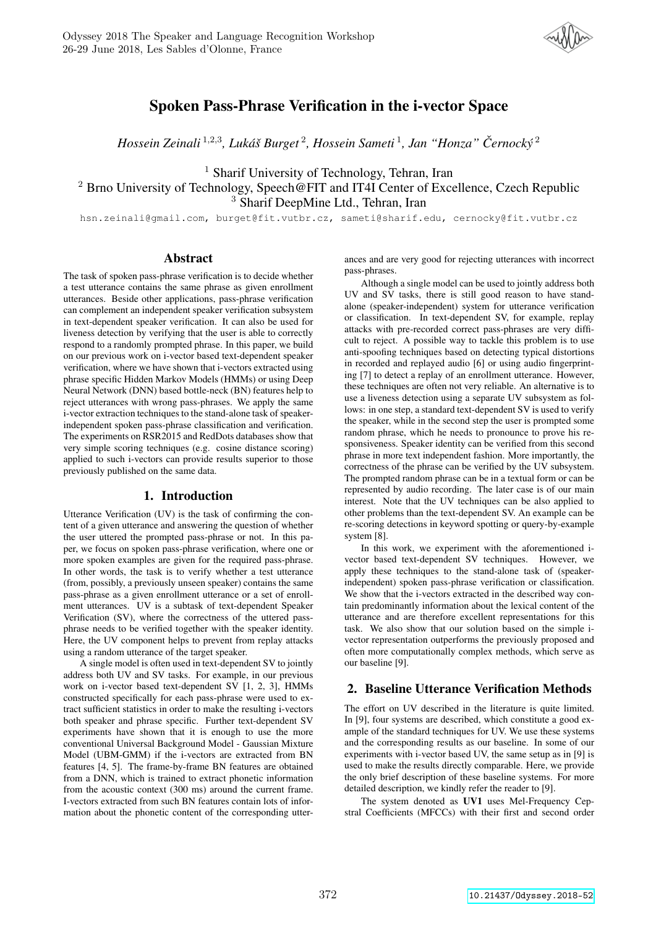

# Spoken Pass-Phrase Verification in the i-vector Space

*Hossein Zeinali* <sup>1</sup>,2,<sup>3</sup> *, Luka´s Burget ˇ* 2 *, Hossein Sameti* <sup>1</sup> *, Jan "Honza" Cernock ˇ y´* 2

<sup>1</sup> Sharif University of Technology, Tehran, Iran

<sup>2</sup> Brno University of Technology, Speech@FIT and IT4I Center of Excellence, Czech Republic <sup>3</sup> Sharif DeepMine Ltd., Tehran, Iran

hsn.zeinali@gmail.com, burget@fit.vutbr.cz, sameti@sharif.edu, cernocky@fit.vutbr.cz

## Abstract

The task of spoken pass-phrase verification is to decide whether a test utterance contains the same phrase as given enrollment utterances. Beside other applications, pass-phrase verification can complement an independent speaker verification subsystem in text-dependent speaker verification. It can also be used for liveness detection by verifying that the user is able to correctly respond to a randomly prompted phrase. In this paper, we build on our previous work on i-vector based text-dependent speaker verification, where we have shown that i-vectors extracted using phrase specific Hidden Markov Models (HMMs) or using Deep Neural Network (DNN) based bottle-neck (BN) features help to reject utterances with wrong pass-phrases. We apply the same i-vector extraction techniques to the stand-alone task of speakerindependent spoken pass-phrase classification and verification. The experiments on RSR2015 and RedDots databases show that very simple scoring techniques (e.g. cosine distance scoring) applied to such i-vectors can provide results superior to those previously published on the same data.

## 1. Introduction

Utterance Verification (UV) is the task of confirming the content of a given utterance and answering the question of whether the user uttered the prompted pass-phrase or not. In this paper, we focus on spoken pass-phrase verification, where one or more spoken examples are given for the required pass-phrase. In other words, the task is to verify whether a test utterance (from, possibly, a previously unseen speaker) contains the same pass-phrase as a given enrollment utterance or a set of enrollment utterances. UV is a subtask of text-dependent Speaker Verification (SV), where the correctness of the uttered passphrase needs to be verified together with the speaker identity. Here, the UV component helps to prevent from replay attacks using a random utterance of the target speaker.

A single model is often used in text-dependent SV to jointly address both UV and SV tasks. For example, in our previous work on i-vector based text-dependent SV [1, 2, 3], HMMs constructed specifically for each pass-phrase were used to extract sufficient statistics in order to make the resulting i-vectors both speaker and phrase specific. Further text-dependent SV experiments have shown that it is enough to use the more conventional Universal Background Model - Gaussian Mixture Model (UBM-GMM) if the i-vectors are extracted from BN features [4, 5]. The frame-by-frame BN features are obtained from a DNN, which is trained to extract phonetic information from the acoustic context (300 ms) around the current frame. I-vectors extracted from such BN features contain lots of information about the phonetic content of the corresponding utter-

ances and are very good for rejecting utterances with incorrect pass-phrases.

Although a single model can be used to jointly address both UV and SV tasks, there is still good reason to have standalone (speaker-independent) system for utterance verification or classification. In text-dependent SV, for example, replay attacks with pre-recorded correct pass-phrases are very difficult to reject. A possible way to tackle this problem is to use anti-spoofing techniques based on detecting typical distortions in recorded and replayed audio [6] or using audio fingerprinting [7] to detect a replay of an enrollment utterance. However, these techniques are often not very reliable. An alternative is to use a liveness detection using a separate UV subsystem as follows: in one step, a standard text-dependent SV is used to verify the speaker, while in the second step the user is prompted some random phrase, which he needs to pronounce to prove his responsiveness. Speaker identity can be verified from this second phrase in more text independent fashion. More importantly, the correctness of the phrase can be verified by the UV subsystem. The prompted random phrase can be in a textual form or can be represented by audio recording. The later case is of our main interest. Note that the UV techniques can be also applied to other problems than the text-dependent SV. An example can be re-scoring detections in keyword spotting or query-by-example system [8].

In this work, we experiment with the aforementioned ivector based text-dependent SV techniques. However, we apply these techniques to the stand-alone task of (speakerindependent) spoken pass-phrase verification or classification. We show that the i-vectors extracted in the described way contain predominantly information about the lexical content of the utterance and are therefore excellent representations for this task. We also show that our solution based on the simple ivector representation outperforms the previously proposed and often more computationally complex methods, which serve as our baseline [9].

## 2. Baseline Utterance Verification Methods

The effort on UV described in the literature is quite limited. In [9], four systems are described, which constitute a good example of the standard techniques for UV. We use these systems and the corresponding results as our baseline. In some of our experiments with i-vector based UV, the same setup as in [9] is used to make the results directly comparable. Here, we provide the only brief description of these baseline systems. For more detailed description, we kindly refer the reader to [9].

The system denoted as UV1 uses Mel-Frequency Cepstral Coefficients (MFCCs) with their first and second order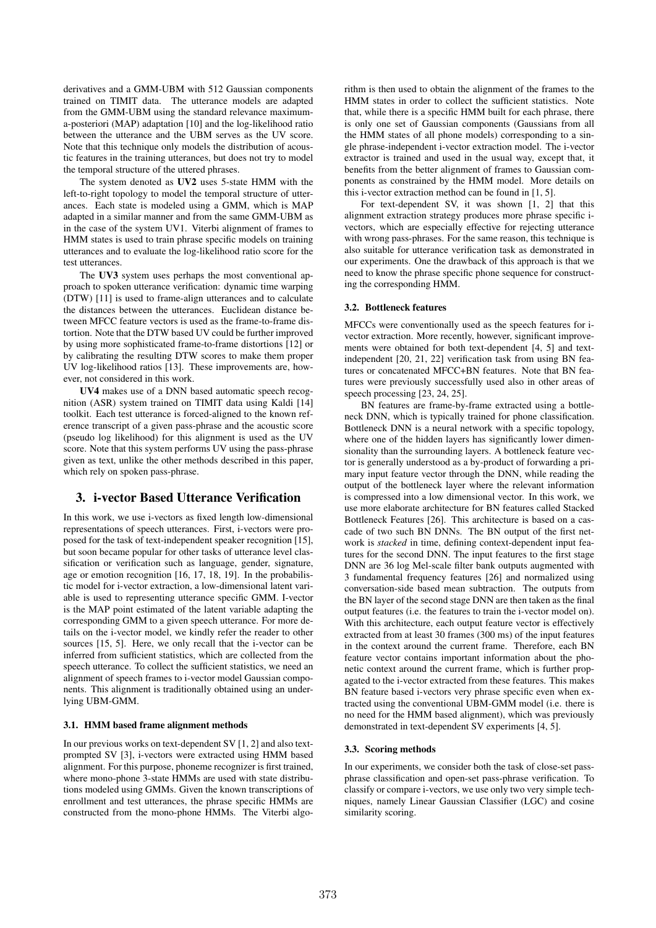derivatives and a GMM-UBM with 512 Gaussian components trained on TIMIT data. The utterance models are adapted from the GMM-UBM using the standard relevance maximuma-posteriori (MAP) adaptation [10] and the log-likelihood ratio between the utterance and the UBM serves as the UV score. Note that this technique only models the distribution of acoustic features in the training utterances, but does not try to model the temporal structure of the uttered phrases.

The system denoted as UV2 uses 5-state HMM with the left-to-right topology to model the temporal structure of utterances. Each state is modeled using a GMM, which is MAP adapted in a similar manner and from the same GMM-UBM as in the case of the system UV1. Viterbi alignment of frames to HMM states is used to train phrase specific models on training utterances and to evaluate the log-likelihood ratio score for the test utterances.

The UV3 system uses perhaps the most conventional approach to spoken utterance verification: dynamic time warping (DTW) [11] is used to frame-align utterances and to calculate the distances between the utterances. Euclidean distance between MFCC feature vectors is used as the frame-to-frame distortion. Note that the DTW based UV could be further improved by using more sophisticated frame-to-frame distortions [12] or by calibrating the resulting DTW scores to make them proper UV log-likelihood ratios [13]. These improvements are, however, not considered in this work.

UV4 makes use of a DNN based automatic speech recognition (ASR) system trained on TIMIT data using Kaldi [14] toolkit. Each test utterance is forced-aligned to the known reference transcript of a given pass-phrase and the acoustic score (pseudo log likelihood) for this alignment is used as the UV score. Note that this system performs UV using the pass-phrase given as text, unlike the other methods described in this paper, which rely on spoken pass-phrase.

## 3. i-vector Based Utterance Verification

In this work, we use i-vectors as fixed length low-dimensional representations of speech utterances. First, i-vectors were proposed for the task of text-independent speaker recognition [15], but soon became popular for other tasks of utterance level classification or verification such as language, gender, signature, age or emotion recognition [16, 17, 18, 19]. In the probabilistic model for i-vector extraction, a low-dimensional latent variable is used to representing utterance specific GMM. I-vector is the MAP point estimated of the latent variable adapting the corresponding GMM to a given speech utterance. For more details on the i-vector model, we kindly refer the reader to other sources [15, 5]. Here, we only recall that the i-vector can be inferred from sufficient statistics, which are collected from the speech utterance. To collect the sufficient statistics, we need an alignment of speech frames to i-vector model Gaussian components. This alignment is traditionally obtained using an underlying UBM-GMM.

#### 3.1. HMM based frame alignment methods

In our previous works on text-dependent SV [1, 2] and also textprompted SV [3], i-vectors were extracted using HMM based alignment. For this purpose, phoneme recognizer is first trained, where mono-phone 3-state HMMs are used with state distributions modeled using GMMs. Given the known transcriptions of enrollment and test utterances, the phrase specific HMMs are constructed from the mono-phone HMMs. The Viterbi algorithm is then used to obtain the alignment of the frames to the HMM states in order to collect the sufficient statistics. Note that, while there is a specific HMM built for each phrase, there is only one set of Gaussian components (Gaussians from all the HMM states of all phone models) corresponding to a single phrase-independent i-vector extraction model. The i-vector extractor is trained and used in the usual way, except that, it benefits from the better alignment of frames to Gaussian components as constrained by the HMM model. More details on this i-vector extraction method can be found in [1, 5].

For text-dependent SV, it was shown [1, 2] that this alignment extraction strategy produces more phrase specific ivectors, which are especially effective for rejecting utterance with wrong pass-phrases. For the same reason, this technique is also suitable for utterance verification task as demonstrated in our experiments. One the drawback of this approach is that we need to know the phrase specific phone sequence for constructing the corresponding HMM.

### 3.2. Bottleneck features

MFCCs were conventionally used as the speech features for ivector extraction. More recently, however, significant improvements were obtained for both text-dependent [4, 5] and textindependent [20, 21, 22] verification task from using BN features or concatenated MFCC+BN features. Note that BN features were previously successfully used also in other areas of speech processing [23, 24, 25].

BN features are frame-by-frame extracted using a bottleneck DNN, which is typically trained for phone classification. Bottleneck DNN is a neural network with a specific topology, where one of the hidden layers has significantly lower dimensionality than the surrounding layers. A bottleneck feature vector is generally understood as a by-product of forwarding a primary input feature vector through the DNN, while reading the output of the bottleneck layer where the relevant information is compressed into a low dimensional vector. In this work, we use more elaborate architecture for BN features called Stacked Bottleneck Features [26]. This architecture is based on a cascade of two such BN DNNs. The BN output of the first network is *stacked* in time, defining context-dependent input features for the second DNN. The input features to the first stage DNN are 36 log Mel-scale filter bank outputs augmented with 3 fundamental frequency features [26] and normalized using conversation-side based mean subtraction. The outputs from the BN layer of the second stage DNN are then taken as the final output features (i.e. the features to train the i-vector model on). With this architecture, each output feature vector is effectively extracted from at least 30 frames (300 ms) of the input features in the context around the current frame. Therefore, each BN feature vector contains important information about the phonetic context around the current frame, which is further propagated to the i-vector extracted from these features. This makes BN feature based i-vectors very phrase specific even when extracted using the conventional UBM-GMM model (i.e. there is no need for the HMM based alignment), which was previously demonstrated in text-dependent SV experiments [4, 5].

#### 3.3. Scoring methods

In our experiments, we consider both the task of close-set passphrase classification and open-set pass-phrase verification. To classify or compare i-vectors, we use only two very simple techniques, namely Linear Gaussian Classifier (LGC) and cosine similarity scoring.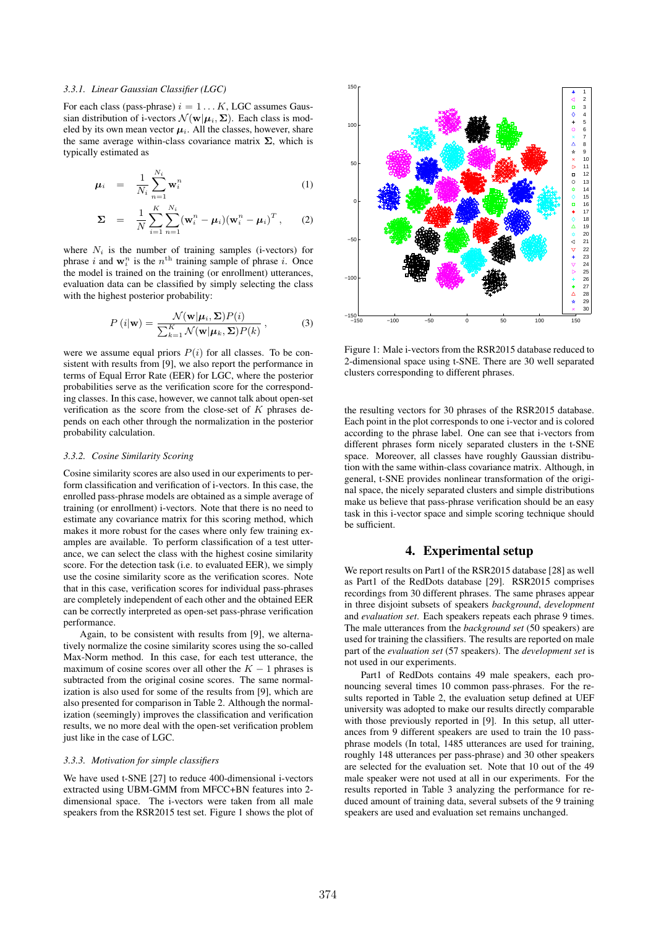### *3.3.1. Linear Gaussian Classifier (LGC)*

For each class (pass-phrase)  $i = 1...K$ , LGC assumes Gaussian distribution of i-vectors  $\mathcal{N}(\mathbf{w}|\boldsymbol{\mu}_i, \boldsymbol{\Sigma})$ . Each class is modeled by its own mean vector  $\mu_i$ . All the classes, however, share the same average within-class covariance matrix  $\Sigma$ , which is typically estimated as

$$
\mu_i = \frac{1}{N_i} \sum_{n=1}^{N_i} \mathbf{w}_i^n \tag{1}
$$

$$
\mathbf{\Sigma} = \frac{1}{N} \sum_{i=1}^{K} \sum_{n=1}^{N_i} (\mathbf{w}_i^n - \boldsymbol{\mu}_i) (\mathbf{w}_i^n - \boldsymbol{\mu}_i)^T, \qquad (2)
$$

where  $N_i$  is the number of training samples (i-vectors) for phrase i and  $\mathbf{w}_i^n$  is the  $n^{\text{th}}$  training sample of phrase i. Once the model is trained on the training (or enrollment) utterances, evaluation data can be classified by simply selecting the class with the highest posterior probability:

$$
P(i|\mathbf{w}) = \frac{\mathcal{N}(\mathbf{w}|\boldsymbol{\mu}_i, \boldsymbol{\Sigma}) P(i)}{\sum_{k=1}^{K} \mathcal{N}(\mathbf{w}|\boldsymbol{\mu}_k, \boldsymbol{\Sigma}) P(k)},
$$
(3)

were we assume equal priors  $P(i)$  for all classes. To be consistent with results from [9], we also report the performance in terms of Equal Error Rate (EER) for LGC, where the posterior probabilities serve as the verification score for the corresponding classes. In this case, however, we cannot talk about open-set verification as the score from the close-set of  $K$  phrases depends on each other through the normalization in the posterior probability calculation.

#### *3.3.2. Cosine Similarity Scoring*

Cosine similarity scores are also used in our experiments to perform classification and verification of i-vectors. In this case, the enrolled pass-phrase models are obtained as a simple average of training (or enrollment) i-vectors. Note that there is no need to estimate any covariance matrix for this scoring method, which makes it more robust for the cases where only few training examples are available. To perform classification of a test utterance, we can select the class with the highest cosine similarity score. For the detection task (i.e. to evaluated EER), we simply use the cosine similarity score as the verification scores. Note that in this case, verification scores for individual pass-phrases are completely independent of each other and the obtained EER can be correctly interpreted as open-set pass-phrase verification performance.

Again, to be consistent with results from [9], we alternatively normalize the cosine similarity scores using the so-called Max-Norm method. In this case, for each test utterance, the maximum of cosine scores over all other the  $K - 1$  phrases is subtracted from the original cosine scores. The same normalization is also used for some of the results from [9], which are also presented for comparison in Table 2. Although the normalization (seemingly) improves the classification and verification results, we no more deal with the open-set verification problem just like in the case of LGC.

#### *3.3.3. Motivation for simple classifiers*

We have used t-SNE [27] to reduce 400-dimensional i-vectors extracted using UBM-GMM from MFCC+BN features into 2 dimensional space. The i-vectors were taken from all male speakers from the RSR2015 test set. Figure 1 shows the plot of



Figure 1: Male i-vectors from the RSR2015 database reduced to 2-dimensional space using t-SNE. There are 30 well separated clusters corresponding to different phrases.

the resulting vectors for 30 phrases of the RSR2015 database. Each point in the plot corresponds to one i-vector and is colored according to the phrase label. One can see that i-vectors from different phrases form nicely separated clusters in the t-SNE space. Moreover, all classes have roughly Gaussian distribution with the same within-class covariance matrix. Although, in general, t-SNE provides nonlinear transformation of the original space, the nicely separated clusters and simple distributions make us believe that pass-phrase verification should be an easy task in this i-vector space and simple scoring technique should be sufficient.

## 4. Experimental setup

We report results on Part1 of the RSR2015 database [28] as well as Part1 of the RedDots database [29]. RSR2015 comprises recordings from 30 different phrases. The same phrases appear in three disjoint subsets of speakers *background*, *development* and *evaluation set*. Each speakers repeats each phrase 9 times. The male utterances from the *background set* (50 speakers) are used for training the classifiers. The results are reported on male part of the *evaluation set* (57 speakers). The *development set* is not used in our experiments.

Part1 of RedDots contains 49 male speakers, each pronouncing several times 10 common pass-phrases. For the results reported in Table 2, the evaluation setup defined at UEF university was adopted to make our results directly comparable with those previously reported in [9]. In this setup, all utterances from 9 different speakers are used to train the 10 passphrase models (In total, 1485 utterances are used for training, roughly 148 utterances per pass-phrase) and 30 other speakers are selected for the evaluation set. Note that 10 out of the 49 male speaker were not used at all in our experiments. For the results reported in Table 3 analyzing the performance for reduced amount of training data, several subsets of the 9 training speakers are used and evaluation set remains unchanged.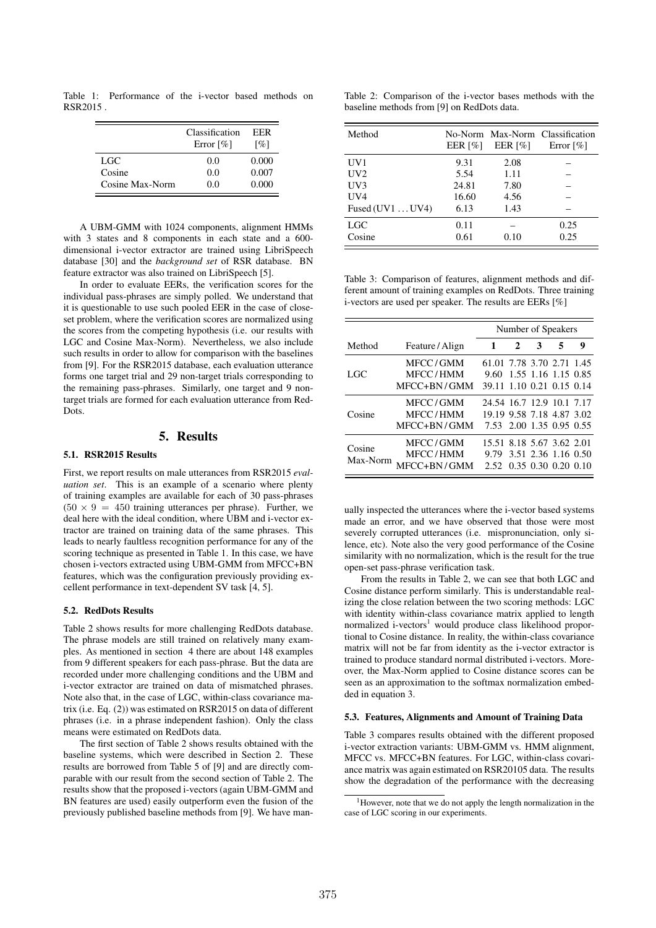Table 1: Performance of the i-vector based methods on RSR2015 .

|                 | Classification<br>Error $\lceil \% \rceil$ | EER<br>[%] |
|-----------------|--------------------------------------------|------------|
| LGC             | 0.0                                        | 0.000      |
| Cosine          | 0.0                                        | 0.007      |
| Cosine Max-Norm | 0.0                                        | 0.000      |

A UBM-GMM with 1024 components, alignment HMMs with 3 states and 8 components in each state and a 600 dimensional i-vector extractor are trained using LibriSpeech database [30] and the *background set* of RSR database. BN feature extractor was also trained on LibriSpeech [5].

In order to evaluate EERs, the verification scores for the individual pass-phrases are simply polled. We understand that it is questionable to use such pooled EER in the case of closeset problem, where the verification scores are normalized using the scores from the competing hypothesis (i.e. our results with LGC and Cosine Max-Norm). Nevertheless, we also include such results in order to allow for comparison with the baselines from [9]. For the RSR2015 database, each evaluation utterance forms one target trial and 29 non-target trials corresponding to the remaining pass-phrases. Similarly, one target and 9 nontarget trials are formed for each evaluation utterance from Red-Dots.

## 5. Results

## 5.1. RSR2015 Results

First, we report results on male utterances from RSR2015 *evaluation set*. This is an example of a scenario where plenty of training examples are available for each of 30 pass-phrases  $(50 \times 9 = 450$  training utterances per phrase). Further, we deal here with the ideal condition, where UBM and i-vector extractor are trained on training data of the same phrases. This leads to nearly faultless recognition performance for any of the scoring technique as presented in Table 1. In this case, we have chosen i-vectors extracted using UBM-GMM from MFCC+BN features, which was the configuration previously providing excellent performance in text-dependent SV task [4, 5].

### 5.2. RedDots Results

Table 2 shows results for more challenging RedDots database. The phrase models are still trained on relatively many examples. As mentioned in section 4 there are about 148 examples from 9 different speakers for each pass-phrase. But the data are recorded under more challenging conditions and the UBM and i-vector extractor are trained on data of mismatched phrases. Note also that, in the case of LGC, within-class covariance matrix (i.e. Eq. (2)) was estimated on RSR2015 on data of different phrases (i.e. in a phrase independent fashion). Only the class means were estimated on RedDots data.

The first section of Table 2 shows results obtained with the baseline systems, which were described in Section 2. These results are borrowed from Table 5 of [9] and are directly comparable with our result from the second section of Table 2. The results show that the proposed i-vectors (again UBM-GMM and BN features are used) easily outperform even the fusion of the previously published baseline methods from [9]. We have man-

Table 2: Comparison of the i-vector bases methods with the baseline methods from [9] on RedDots data.

| Method           | EER $\lceil\% \rceil$ | EER $\lceil \% \rceil$ | No-Norm Max-Norm Classification<br>Error $\lceil \% \rceil$ |
|------------------|-----------------------|------------------------|-------------------------------------------------------------|
| UV <sub>1</sub>  | 9.31                  | 2.08                   |                                                             |
| UV2              | 5.54                  | 1.11                   |                                                             |
| UV3              | 24.81                 | 7.80                   |                                                             |
| UV4              | 16.60                 | 4.56                   |                                                             |
| Fused $(UV1UV4)$ | 6.13                  | 1.43                   |                                                             |
| <b>LGC</b>       | 0.11                  |                        | 0.25                                                        |
| Cosine           | 0.61                  | 0.10                   | 0.25                                                        |

Table 3: Comparison of features, alignment methods and different amount of training examples on RedDots. Three training i-vectors are used per speaker. The results are EERs [%]

|                    |                                     | Number of Speakers                                                                 |   |                     |   |   |
|--------------------|-------------------------------------|------------------------------------------------------------------------------------|---|---------------------|---|---|
| Method             | Feature/Align                       | 1                                                                                  | 2 | 3                   | 5 | 9 |
| LGC.               | MFCC/GMM<br>MFCC/HMM<br>MFCC+BN/GMM | 61.01 7.78 3.70 2.71 1.45<br>9.60<br>39.11 1.10 0.21 0.15 0.14                     |   | 1.55 1.16 1.15 0.85 |   |   |
| Cosine             | MFCC/GMM<br>MFCC/HMM<br>MFCC+BN/GMM | 24.54 16.7 12.9 10.1 7.17<br>19.19 9.58 7.18 4.87 3.02<br>7.53 2.00 1.35 0.95 0.55 |   |                     |   |   |
| Cosine<br>Max-Norm | MFCC/GMM<br>MFCC/HMM<br>MFCC+BN/GMM | 15.51 8.18 5.67 3.62 2.01<br>9.79 3.51 2.36 1.16 0.50<br>2.52 0.35 0.30 0.20 0.10  |   |                     |   |   |

ually inspected the utterances where the i-vector based systems made an error, and we have observed that those were most severely corrupted utterances (i.e. mispronunciation, only silence, etc). Note also the very good performance of the Cosine similarity with no normalization, which is the result for the true open-set pass-phrase verification task.

From the results in Table 2, we can see that both LGC and Cosine distance perform similarly. This is understandable realizing the close relation between the two scoring methods: LGC with identity within-class covariance matrix applied to length normalized i-vectors<sup>1</sup> would produce class likelihood proportional to Cosine distance. In reality, the within-class covariance matrix will not be far from identity as the i-vector extractor is trained to produce standard normal distributed i-vectors. Moreover, the Max-Norm applied to Cosine distance scores can be seen as an approximation to the softmax normalization embedded in equation 3.

#### 5.3. Features, Alignments and Amount of Training Data

Table 3 compares results obtained with the different proposed i-vector extraction variants: UBM-GMM vs. HMM alignment, MFCC vs. MFCC+BN features. For LGC, within-class covariance matrix was again estimated on RSR20105 data. The results show the degradation of the performance with the decreasing

<sup>&</sup>lt;sup>1</sup>However, note that we do not apply the length normalization in the case of LGC scoring in our experiments.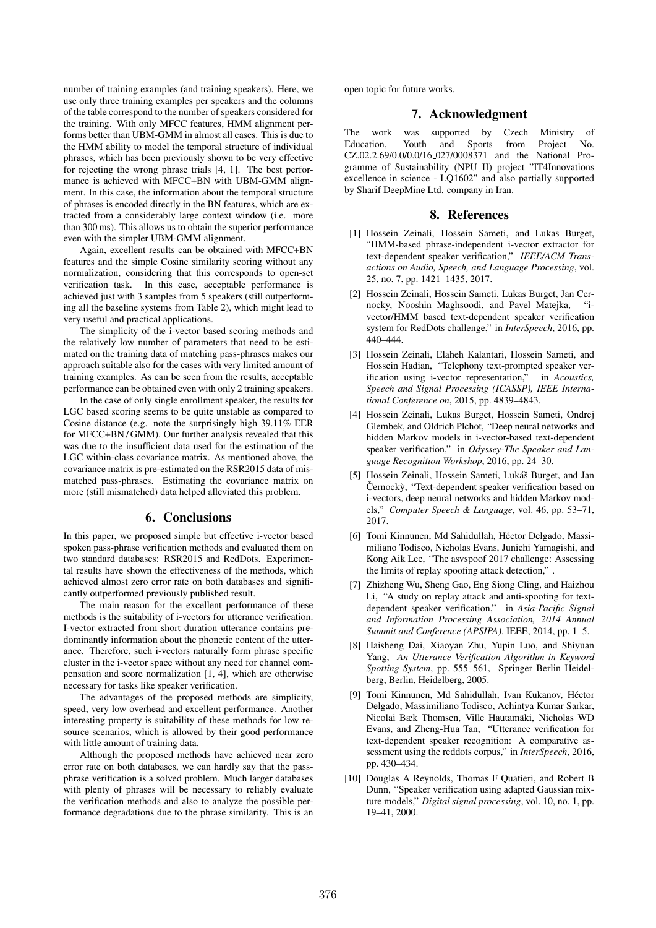number of training examples (and training speakers). Here, we use only three training examples per speakers and the columns of the table correspond to the number of speakers considered for the training. With only MFCC features, HMM alignment performs better than UBM-GMM in almost all cases. This is due to the HMM ability to model the temporal structure of individual phrases, which has been previously shown to be very effective for rejecting the wrong phrase trials [4, 1]. The best performance is achieved with MFCC+BN with UBM-GMM alignment. In this case, the information about the temporal structure of phrases is encoded directly in the BN features, which are extracted from a considerably large context window (i.e. more than 300 ms). This allows us to obtain the superior performance even with the simpler UBM-GMM alignment.

Again, excellent results can be obtained with MFCC+BN features and the simple Cosine similarity scoring without any normalization, considering that this corresponds to open-set verification task. In this case, acceptable performance is achieved just with 3 samples from 5 speakers (still outperforming all the baseline systems from Table 2), which might lead to very useful and practical applications.

The simplicity of the i-vector based scoring methods and the relatively low number of parameters that need to be estimated on the training data of matching pass-phrases makes our approach suitable also for the cases with very limited amount of training examples. As can be seen from the results, acceptable performance can be obtained even with only 2 training speakers.

In the case of only single enrollment speaker, the results for LGC based scoring seems to be quite unstable as compared to Cosine distance (e.g. note the surprisingly high 39.11% EER for MFCC+BN / GMM). Our further analysis revealed that this was due to the insufficient data used for the estimation of the LGC within-class covariance matrix. As mentioned above, the covariance matrix is pre-estimated on the RSR2015 data of mismatched pass-phrases. Estimating the covariance matrix on more (still mismatched) data helped alleviated this problem.

## 6. Conclusions

In this paper, we proposed simple but effective i-vector based spoken pass-phrase verification methods and evaluated them on two standard databases: RSR2015 and RedDots. Experimental results have shown the effectiveness of the methods, which achieved almost zero error rate on both databases and significantly outperformed previously published result.

The main reason for the excellent performance of these methods is the suitability of i-vectors for utterance verification. I-vector extracted from short duration utterance contains predominantly information about the phonetic content of the utterance. Therefore, such i-vectors naturally form phrase specific cluster in the i-vector space without any need for channel compensation and score normalization [1, 4], which are otherwise necessary for tasks like speaker verification.

The advantages of the proposed methods are simplicity, speed, very low overhead and excellent performance. Another interesting property is suitability of these methods for low resource scenarios, which is allowed by their good performance with little amount of training data.

Although the proposed methods have achieved near zero error rate on both databases, we can hardly say that the passphrase verification is a solved problem. Much larger databases with plenty of phrases will be necessary to reliably evaluate the verification methods and also to analyze the possible performance degradations due to the phrase similarity. This is an open topic for future works.

## 7. Acknowledgment

The work was supported by Czech Ministry of Education, Youth and Sports from Project No. CZ.02.2.69/0.0/0.0/16 027/0008371 and the National Programme of Sustainability (NPU II) project "IT4Innovations excellence in science - LQ1602" and also partially supported by Sharif DeepMine Ltd. company in Iran.

### 8. References

- [1] Hossein Zeinali, Hossein Sameti, and Lukas Burget, "HMM-based phrase-independent i-vector extractor for text-dependent speaker verification," *IEEE/ACM Transactions on Audio, Speech, and Language Processing*, vol. 25, no. 7, pp. 1421–1435, 2017.
- [2] Hossein Zeinali, Hossein Sameti, Lukas Burget, Jan Cernocky, Nooshin Maghsoodi, and Pavel Matejka, "ivector/HMM based text-dependent speaker verification system for RedDots challenge," in *InterSpeech*, 2016, pp. 440–444.
- [3] Hossein Zeinali, Elaheh Kalantari, Hossein Sameti, and Hossein Hadian, "Telephony text-prompted speaker verification using i-vector representation," in *Acoustics, Speech and Signal Processing (ICASSP), IEEE International Conference on*, 2015, pp. 4839–4843.
- [4] Hossein Zeinali, Lukas Burget, Hossein Sameti, Ondrej Glembek, and Oldrich Plchot, "Deep neural networks and hidden Markov models in i-vector-based text-dependent speaker verification," in *Odyssey-The Speaker and Language Recognition Workshop*, 2016, pp. 24–30.
- [5] Hossein Zeinali, Hossein Sameti, Lukáš Burget, and Jan Černockỳ, "Text-dependent speaker verification based on i-vectors, deep neural networks and hidden Markov models," *Computer Speech & Language*, vol. 46, pp. 53–71, 2017.
- [6] Tomi Kinnunen, Md Sahidullah, Hector Delgado, Massi- ´ miliano Todisco, Nicholas Evans, Junichi Yamagishi, and Kong Aik Lee, "The asvspoof 2017 challenge: Assessing the limits of replay spoofing attack detection," .
- [7] Zhizheng Wu, Sheng Gao, Eng Siong Cling, and Haizhou Li, "A study on replay attack and anti-spoofing for textdependent speaker verification," in *Asia-Pacific Signal and Information Processing Association, 2014 Annual Summit and Conference (APSIPA)*. IEEE, 2014, pp. 1–5.
- [8] Haisheng Dai, Xiaoyan Zhu, Yupin Luo, and Shiyuan Yang, *An Utterance Verification Algorithm in Keyword Spotting System*, pp. 555–561, Springer Berlin Heidelberg, Berlin, Heidelberg, 2005.
- [9] Tomi Kinnunen, Md Sahidullah, Ivan Kukanov, Hector ´ Delgado, Massimiliano Todisco, Achintya Kumar Sarkar, Nicolai Bæk Thomsen, Ville Hautamaki, Nicholas WD ¨ Evans, and Zheng-Hua Tan, "Utterance verification for text-dependent speaker recognition: A comparative assessment using the reddots corpus," in *InterSpeech*, 2016, pp. 430–434.
- [10] Douglas A Reynolds, Thomas F Quatieri, and Robert B Dunn, "Speaker verification using adapted Gaussian mixture models," *Digital signal processing*, vol. 10, no. 1, pp. 19–41, 2000.